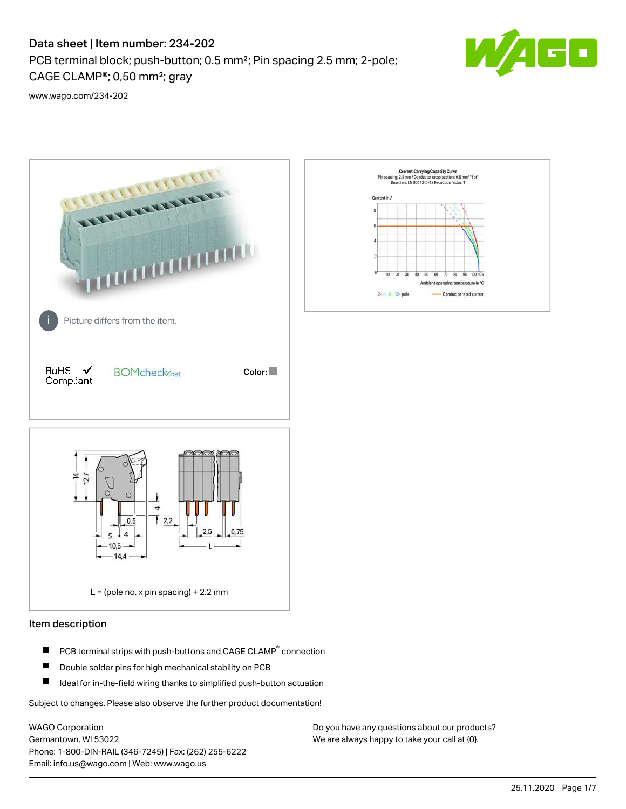# Data sheet | Item number: 234-202

PCB terminal block; push-button; 0.5 mm²; Pin spacing 2.5 mm; 2-pole; CAGE CLAMP®; 0,50 mm²; gray



[www.wago.com/234-202](http://www.wago.com/234-202)



## Item description

- PCB terminal strips with push-buttons and CAGE CLAMP<sup>®</sup> connection П
- П Double solder pins for high mechanical stability on PCB
- П Ideal for in-the-field wiring thanks to simplified push-button actuation

Subject to changes. Please also observe the further product documentation!

WAGO Corporation Germantown, WI 53022 Phone: 1-800-DIN-RAIL (346-7245) | Fax: (262) 255-6222 Email: info.us@wago.com | Web: www.wago.us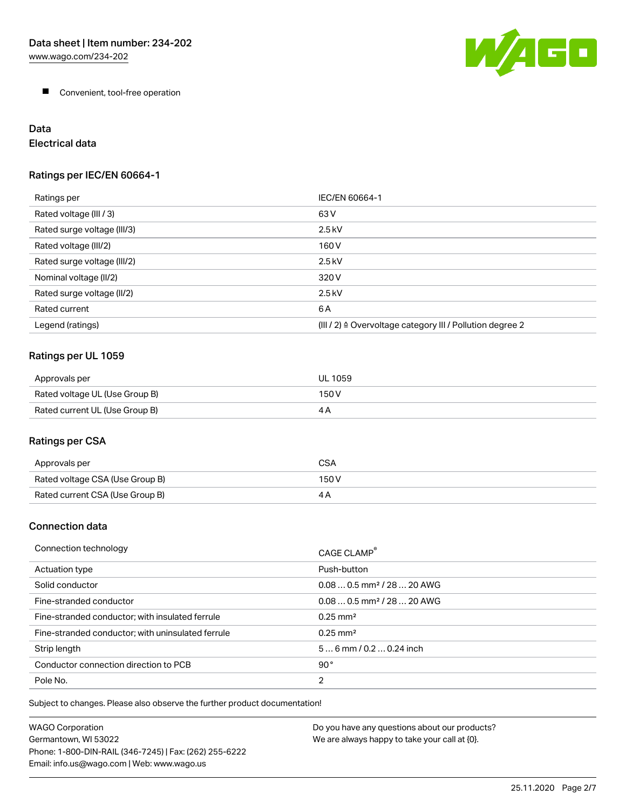

**Convenient, tool-free operation** 

# Data

Electrical data

## Ratings per IEC/EN 60664-1

| Ratings per                 | IEC/EN 60664-1                                                        |
|-----------------------------|-----------------------------------------------------------------------|
| Rated voltage (III / 3)     | 63 V                                                                  |
| Rated surge voltage (III/3) | $2.5$ kV                                                              |
| Rated voltage (III/2)       | 160 V                                                                 |
| Rated surge voltage (III/2) | $2.5$ kV                                                              |
| Nominal voltage (II/2)      | 320 V                                                                 |
| Rated surge voltage (II/2)  | $2.5$ kV                                                              |
| Rated current               | 6A                                                                    |
| Legend (ratings)            | $(III / 2)$ $\triangle$ Overvoltage category III / Pollution degree 2 |

# Ratings per UL 1059

| Approvals per                  | UL 1059 |
|--------------------------------|---------|
| Rated voltage UL (Use Group B) | 150 V   |
| Rated current UL (Use Group B) |         |

# Ratings per CSA

| Approvals per                   | CSA   |
|---------------------------------|-------|
| Rated voltage CSA (Use Group B) | 150 V |
| Rated current CSA (Use Group B) |       |

## Connection data

| Connection technology                             | CAGE CLAMP <sup>®</sup>                |
|---------------------------------------------------|----------------------------------------|
| Actuation type                                    | Push-button                            |
| Solid conductor                                   | $0.080.5$ mm <sup>2</sup> / 28  20 AWG |
| Fine-stranded conductor                           | $0.080.5$ mm <sup>2</sup> / 28  20 AWG |
| Fine-stranded conductor; with insulated ferrule   | $0.25 \text{ mm}^2$                    |
| Fine-stranded conductor; with uninsulated ferrule | $0.25 \text{ mm}^2$                    |
| Strip length                                      | $56$ mm $/ 0.20.24$ inch               |
| Conductor connection direction to PCB             | 90°                                    |
| Pole No.                                          | $\overline{2}$                         |

Subject to changes. Please also observe the further product documentation!

| WAGO Corporation                                       | Do you have any questions about our products? |
|--------------------------------------------------------|-----------------------------------------------|
| Germantown. WI 53022                                   | We are always happy to take your call at {0}. |
| Phone: 1-800-DIN-RAIL (346-7245)   Fax: (262) 255-6222 |                                               |
| Email: info.us@wago.com   Web: www.wago.us             |                                               |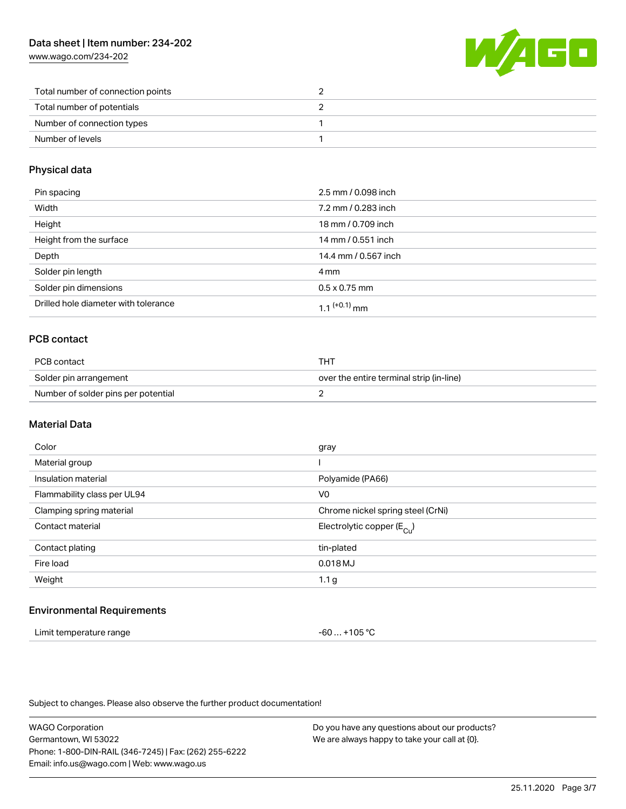[www.wago.com/234-202](http://www.wago.com/234-202)



| Total number of connection points |  |
|-----------------------------------|--|
| Total number of potentials        |  |
| Number of connection types        |  |
| Number of levels                  |  |

#### Physical data

| Pin spacing                          | 2.5 mm / 0.098 inch  |
|--------------------------------------|----------------------|
| Width                                | 7.2 mm / 0.283 inch  |
| Height                               | 18 mm / 0.709 inch   |
| Height from the surface              | 14 mm / 0.551 inch   |
| Depth                                | 14.4 mm / 0.567 inch |
| Solder pin length                    | 4 mm                 |
| Solder pin dimensions                | $0.5 \times 0.75$ mm |
| Drilled hole diameter with tolerance | 1 1 $(+0.1)$ mm      |

## PCB contact

| PCB contact                         | тнт                                      |  |
|-------------------------------------|------------------------------------------|--|
| Solder pin arrangement              | over the entire terminal strip (in-line) |  |
| Number of solder pins per potential |                                          |  |

#### Material Data

| Color                       | gray                                  |
|-----------------------------|---------------------------------------|
| Material group              |                                       |
| Insulation material         | Polyamide (PA66)                      |
| Flammability class per UL94 | V <sub>0</sub>                        |
| Clamping spring material    | Chrome nickel spring steel (CrNi)     |
| Contact material            | Electrolytic copper $(E_{\text{Cl}})$ |
| Contact plating             | tin-plated                            |
| Fire load                   | 0.018 MJ                              |
| Weight                      | 1.1 <sub>g</sub>                      |
|                             |                                       |

#### Environmental Requirements

| Limit temperature range | -60  +105 °C |
|-------------------------|--------------|
|-------------------------|--------------|

Subject to changes. Please also observe the further product documentation!

WAGO Corporation Germantown, WI 53022 Phone: 1-800-DIN-RAIL (346-7245) | Fax: (262) 255-6222 Email: info.us@wago.com | Web: www.wago.us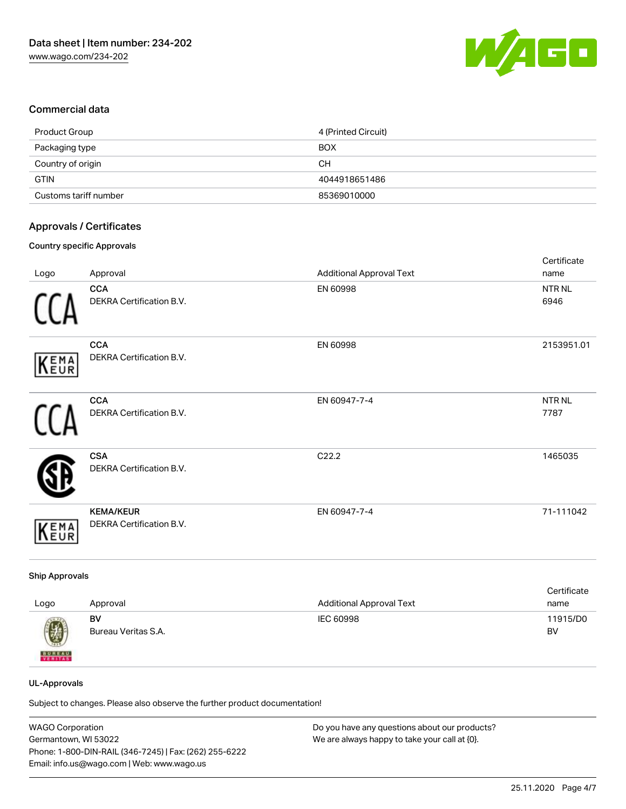

#### Commercial data

| Product Group         | 4 (Printed Circuit) |
|-----------------------|---------------------|
| Packaging type        | <b>BOX</b>          |
| Country of origin     | CН                  |
| <b>GTIN</b>           | 4044918651486       |
| Customs tariff number | 85369010000         |

#### Approvals / Certificates

#### Country specific Approvals

|             |                                              |                                 | Certificate               |
|-------------|----------------------------------------------|---------------------------------|---------------------------|
| Logo        | Approval                                     | <b>Additional Approval Text</b> | name                      |
|             | <b>CCA</b><br>DEKRA Certification B.V.       | EN 60998                        | NTR <sub>NL</sub><br>6946 |
| KEMA        | <b>CCA</b><br>DEKRA Certification B.V.       | EN 60998                        | 2153951.01                |
|             | <b>CCA</b><br>DEKRA Certification B.V.       | EN 60947-7-4                    | NTR <sub>NL</sub><br>7787 |
|             | <b>CSA</b><br>DEKRA Certification B.V.       | C22.2                           | 1465035                   |
| <b>KEMA</b> | <b>KEMA/KEUR</b><br>DEKRA Certification B.V. | EN 60947-7-4                    | 71-111042                 |

#### Ship Approvals

| Logo          | Approval            | <b>Additional Approval Text</b> | Certificate<br>name |
|---------------|---------------------|---------------------------------|---------------------|
| 0             | BV                  | IEC 60998                       | 11915/D0            |
| <b>BUREAU</b> | Bureau Veritas S.A. |                                 | BV                  |

#### UL-Approvals

Subject to changes. Please also observe the further product documentation!

| <b>WAGO Corporation</b>                                | Do you have any questions about our products? |
|--------------------------------------------------------|-----------------------------------------------|
| Germantown, WI 53022                                   | We are always happy to take your call at {0}. |
| Phone: 1-800-DIN-RAIL (346-7245)   Fax: (262) 255-6222 |                                               |
| Email: info.us@wago.com   Web: www.wago.us             |                                               |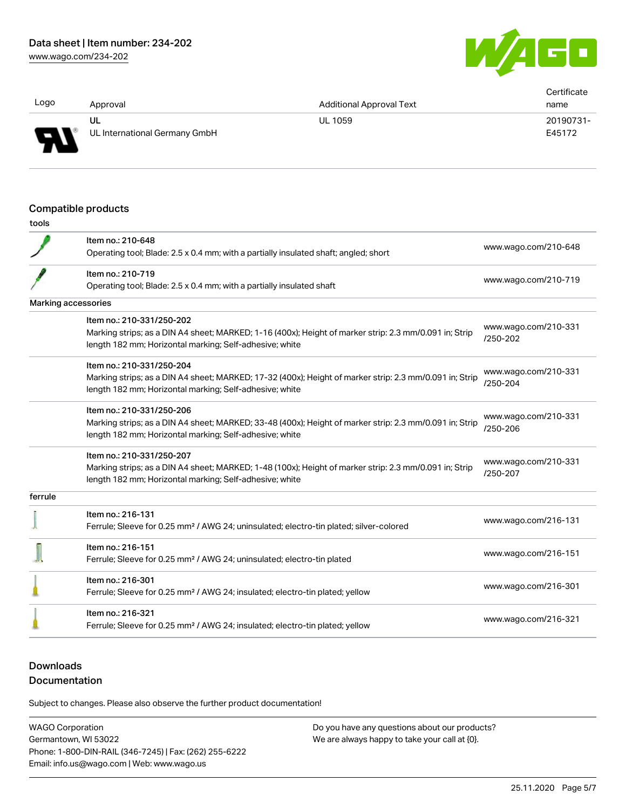[www.wago.com/234-202](http://www.wago.com/234-202)



| Logo                     |                               |                                 | Certificate |
|--------------------------|-------------------------------|---------------------------------|-------------|
|                          | Approval                      | <b>Additional Approval Text</b> | name        |
|                          | UL                            | <b>UL 1059</b>                  | 20190731-   |
| $\overline{\phantom{0}}$ | UL International Germany GmbH |                                 | E45172      |

#### Compatible products

| ۰.<br>v<br>v.<br>.,<br>× |  |
|--------------------------|--|
|                          |  |

|                     | Item no.: 210-648<br>Operating tool; Blade: 2.5 x 0.4 mm; with a partially insulated shaft; angled; short                                                                                       | www.wago.com/210-648             |
|---------------------|-------------------------------------------------------------------------------------------------------------------------------------------------------------------------------------------------|----------------------------------|
|                     | Item no.: 210-719<br>Operating tool; Blade: 2.5 x 0.4 mm; with a partially insulated shaft                                                                                                      | www.wago.com/210-719             |
| Marking accessories |                                                                                                                                                                                                 |                                  |
|                     | Item no.: 210-331/250-202<br>Marking strips; as a DIN A4 sheet; MARKED; 1-16 (400x); Height of marker strip: 2.3 mm/0.091 in; Strip<br>length 182 mm; Horizontal marking; Self-adhesive; white  | www.wago.com/210-331<br>/250-202 |
|                     | Item no.: 210-331/250-204<br>Marking strips; as a DIN A4 sheet; MARKED; 17-32 (400x); Height of marker strip: 2.3 mm/0.091 in; Strip<br>length 182 mm; Horizontal marking; Self-adhesive; white | www.wago.com/210-331<br>/250-204 |
|                     | Item no.: 210-331/250-206<br>Marking strips; as a DIN A4 sheet; MARKED; 33-48 (400x); Height of marker strip: 2.3 mm/0.091 in; Strip<br>length 182 mm; Horizontal marking; Self-adhesive; white | www.wago.com/210-331<br>/250-206 |
|                     | Item no.: 210-331/250-207<br>Marking strips; as a DIN A4 sheet; MARKED; 1-48 (100x); Height of marker strip: 2.3 mm/0.091 in; Strip<br>length 182 mm; Horizontal marking; Self-adhesive; white  | www.wago.com/210-331<br>/250-207 |
| ferrule             |                                                                                                                                                                                                 |                                  |
|                     | Item no.: 216-131<br>Ferrule; Sleeve for 0.25 mm <sup>2</sup> / AWG 24; uninsulated; electro-tin plated; silver-colored                                                                         | www.wago.com/216-131             |
|                     | Item no.: 216-151<br>Ferrule; Sleeve for 0.25 mm <sup>2</sup> / AWG 24; uninsulated; electro-tin plated                                                                                         | www.wago.com/216-151             |
|                     | Item no.: 216-301<br>Ferrule; Sleeve for 0.25 mm <sup>2</sup> / AWG 24; insulated; electro-tin plated; yellow                                                                                   | www.wago.com/216-301             |
|                     | Item no.: 216-321<br>Ferrule; Sleeve for 0.25 mm <sup>2</sup> / AWG 24; insulated; electro-tin plated; yellow                                                                                   | www.wago.com/216-321             |

# **Downloads**

## Documentation

Subject to changes. Please also observe the further product documentation!

WAGO Corporation Germantown, WI 53022 Phone: 1-800-DIN-RAIL (346-7245) | Fax: (262) 255-6222 Email: info.us@wago.com | Web: www.wago.us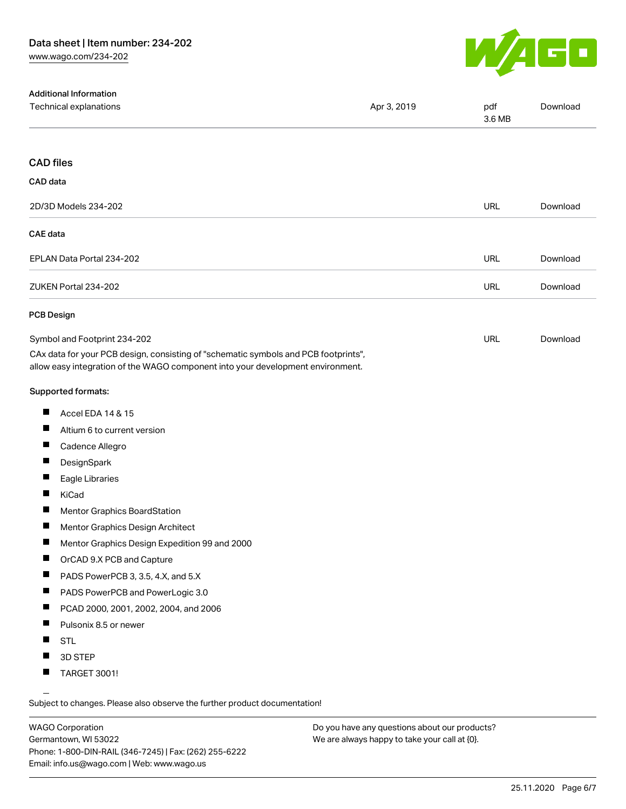

| <b>Additional Information</b>                                                                                                                                          |             |               |          |
|------------------------------------------------------------------------------------------------------------------------------------------------------------------------|-------------|---------------|----------|
| Technical explanations                                                                                                                                                 | Apr 3, 2019 | pdf<br>3.6 MB | Download |
| <b>CAD files</b>                                                                                                                                                       |             |               |          |
|                                                                                                                                                                        |             |               |          |
| CAD data                                                                                                                                                               |             |               |          |
| 2D/3D Models 234-202                                                                                                                                                   |             | <b>URL</b>    | Download |
| <b>CAE</b> data                                                                                                                                                        |             |               |          |
| EPLAN Data Portal 234-202                                                                                                                                              |             | <b>URL</b>    | Download |
| ZUKEN Portal 234-202                                                                                                                                                   |             | <b>URL</b>    | Download |
| <b>PCB Design</b>                                                                                                                                                      |             |               |          |
| Symbol and Footprint 234-202                                                                                                                                           |             | <b>URL</b>    | Download |
| CAx data for your PCB design, consisting of "schematic symbols and PCB footprints",<br>allow easy integration of the WAGO component into your development environment. |             |               |          |
| Supported formats:                                                                                                                                                     |             |               |          |
| ш<br>Accel EDA 14 & 15                                                                                                                                                 |             |               |          |
| ш<br>Altium 6 to current version                                                                                                                                       |             |               |          |
| Ш<br>Cadence Allegro                                                                                                                                                   |             |               |          |
| П<br>DesignSpark                                                                                                                                                       |             |               |          |
| ш<br>Eagle Libraries                                                                                                                                                   |             |               |          |
| П<br>KiCad                                                                                                                                                             |             |               |          |
| $\blacksquare$<br><b>Mentor Graphics BoardStation</b>                                                                                                                  |             |               |          |
| ш<br>Mentor Graphics Design Architect                                                                                                                                  |             |               |          |
| H<br>Mentor Graphics Design Expedition 99 and 2000                                                                                                                     |             |               |          |
| ш<br>OrCAD 9.X PCB and Capture                                                                                                                                         |             |               |          |
| ш<br>PADS PowerPCB 3, 3.5, 4.X, and 5.X                                                                                                                                |             |               |          |
| П<br>PADS PowerPCB and PowerLogic 3.0                                                                                                                                  |             |               |          |
| ш<br>PCAD 2000, 2001, 2002, 2004, and 2006                                                                                                                             |             |               |          |
| ш<br>Pulsonix 8.5 or newer                                                                                                                                             |             |               |          |
| ш<br><b>STL</b>                                                                                                                                                        |             |               |          |
| 3D STEP                                                                                                                                                                |             |               |          |
| <b>TARGET 3001!</b>                                                                                                                                                    |             |               |          |

Subject to changes. Please also observe the further product documentation!

WAGO Corporation Germantown, WI 53022 Phone: 1-800-DIN-RAIL (346-7245) | Fax: (262) 255-6222 Email: info.us@wago.com | Web: www.wago.us